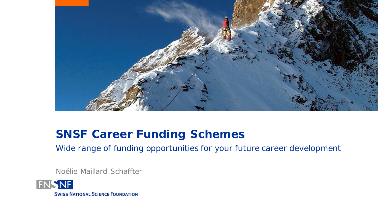

## **SNSF Career Funding Schemes**

Wide range of funding opportunities for your future career development

Noélie Maillard Schaffter

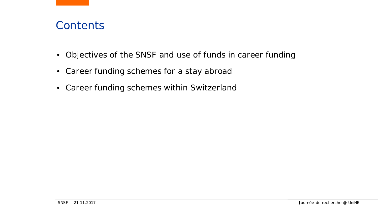### **Contents**

- Objectives of the SNSF and use of funds in career funding
- Career funding schemes for a stay abroad
- Career funding schemes within Switzerland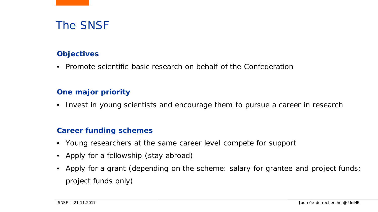## The SNSF

### **Objectives**

• Promote scientific basic research on behalf of the Confederation

#### **One major priority**

• Invest in young scientists and encourage them to pursue a career in research

#### **Career funding schemes**

- Young researchers at the same career level compete for support
- Apply for a fellowship (stay abroad)
- Apply for a grant (depending on the scheme: salary for grantee and project funds; project funds only)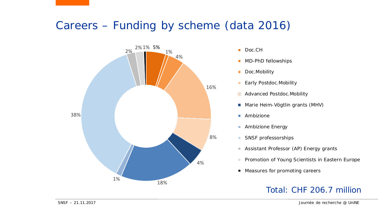## Careers – Funding by scheme (data 2016)



- 
- **MD-PhD fellowships**
- Doc.Mobility  $\blacksquare$
- **Early Postdoc.Mobility**
- **Advanced Postdoc.Mobility**
- **Marie Heim-Vögtlin grants (MHV)**
- **Ambizione**
- Ambizione Energy  $\blacksquare$
- SNSF professorships
	- Assistant Professor (AP) Energy grants
- **Promotion of Young Scientists in Eastern Europe**
- Measures for promoting careers

### Total: CHF 206.7 million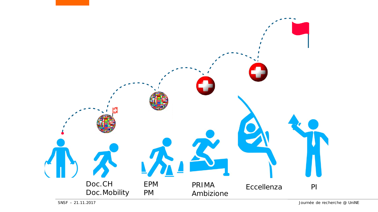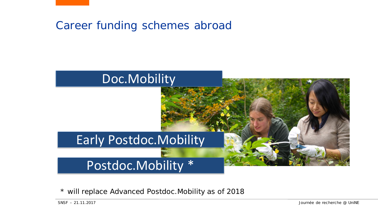



*\* will replace Advanced Postdoc.Mobility as of 2018*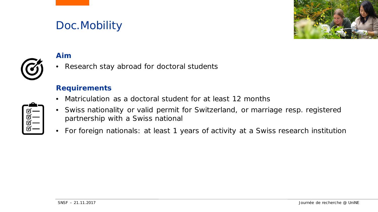## Doc.Mobility





### **Aim**

• Research stay abroad for doctoral students

#### **Requirements**

- Matriculation as a doctoral student for at least 12 months
- Swiss nationality or valid permit for Switzerland, or marriage resp. registered partnership with a Swiss national
- For foreign nationals: at least 1 years of activity at a Swiss research institution

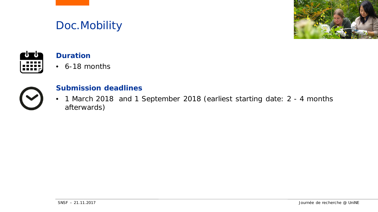## Doc.Mobility





### **Duration**

• 6-18 months



### **Submission deadlines**

• 1 March 2018 and 1 September 2018 (earliest starting date: 2 - 4 months afterwards)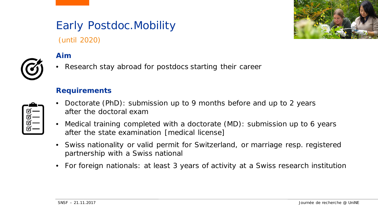# Early Postdoc.Mobility

(until 2020)

### **Aim**

• Research stay abroad for postdocs starting their career

#### **Requirements**

- Doctorate (PhD): submission up to 9 months before and up to 2 years after the doctoral exam
- Medical training completed with a doctorate (MD): submission up to 6 years after the state examination [medical license]
- Swiss nationality or valid permit for Switzerland, or marriage resp. registered partnership with a Swiss national
- For foreign nationals: at least 3 years of activity at a Swiss research institution





| ☑ |
|---|
| ☑ |
| ฬ |
| К |
|   |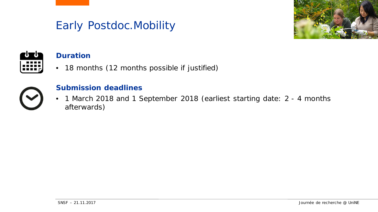## Early Postdoc.Mobility





### **Duration**

• 18 months (12 months possible if justified)



### **Submission deadlines**

• 1 March 2018 and 1 September 2018 (earliest starting date: 2 - 4 months afterwards)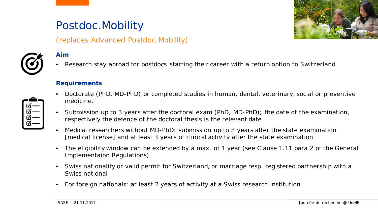## Postdoc.Mobility

(replaces Advanced Postdoc.Mobility)



#### **Aim**

Research stay abroad for postdocs starting their career with a return option to Switzerland

#### **Requirements**

- Doctorate (PhD, MD-PhD) or completed studies in human, dental, veterinary, social or preventive medicine.
- Submission up to 3 years after the doctoral exam (PhD, MD-PhD); the date of the examination, respectively the defence of the doctoral thesis is the relevant date
- Medical researchers without MD-PhD: submission up to 8 years after the state examination [medical license] and at least 3 years of clinical activity after the state examination
- The eligibility window can be extended by a max. of 1 year (see Clause 1.11 para 2 of the General Implementaion Regulations)
- Swiss nationality or valid permit for Switzerland, or marriage resp. registered partnership with a Swiss national
- For foreign nationals: at least 2 years of activity at a Swiss research institution

| ৰ্শ—   |  |
|--------|--|
| ৰ্শে — |  |
| ৰ্ল –  |  |
| ৰ্শ—   |  |

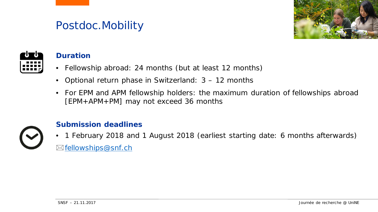## Postdoc.Mobility





### **Duration**

- Fellowship abroad: 24 months (but at least 12 months)
- Optional return phase in Switzerland: 3 12 months
- For EPM and APM fellowship holders: the maximum duration of fellowships abroad [EPM+APM+PM] may not exceed 36 months



### **Submission deadlines**

• 1 February 2018 and 1 August 2018 (earliest starting date: 6 months afterwards) ⊠<u>[fellowships@snf.ch](mailto:fellowships@snf.ch)</u>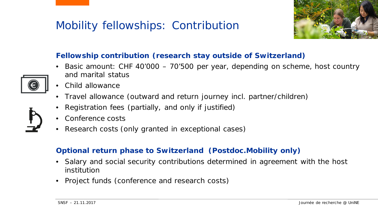## Mobility fellowships: Contribution



### **Fellowship contribution (research stay outside of Switzerland)**

- Basic amount: CHF 40'000 70'500 per year, depending on scheme, host country and marital status
- Child allowance
- Travel allowance (outward and return journey incl. partner/children)
- Registration fees (partially, and only if justified)
- Conference costs
- Research costs (only granted in exceptional cases)

### **Optional return phase to Switzerland (Postdoc.Mobility only)**

- Salary and social security contributions determined in agreement with the host institution
- Project funds (conference and research costs)

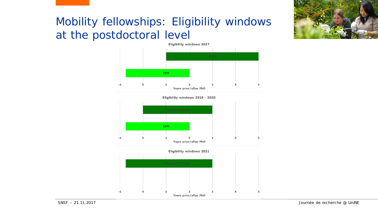

## Mobility fellowships: Eligibility windows at the postdoctoral level







Eligibility windows 2021

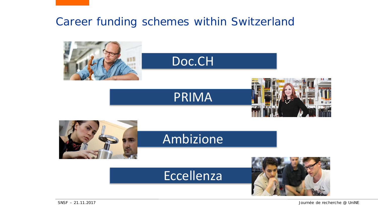## Career funding schemes within Switzerland

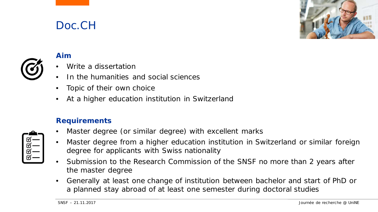## Doc.CH





### **Aim**

- Write a dissertation
- In the humanities and social sciences
- Topic of their own choice
- At a higher education institution in Switzerland

#### **Requirements**

| $\mathfrak{A}$          |  |
|-------------------------|--|
| M                       |  |
| $\overline{\mathbb{V}}$ |  |
| $\bar{\vec{w}}$         |  |
|                         |  |

- Master degree (or similar degree) with excellent marks
- Master degree from a higher education institution in Switzerland or similar foreign degree for applicants with Swiss nationality
- Submission to the Research Commission of the SNSF no more than 2 years after the master degree
- Generally at least one change of institution between bachelor and start of PhD or a planned stay abroad of at least one semester during doctoral studies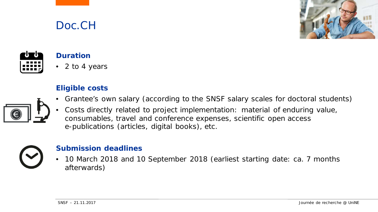



#### **Duration**

Doc.CH

• 2 to 4 years

#### **Eligible costs**

- Grantee's own salary (according to the SNSF salary scales for doctoral students)
- Costs directly related to project implementation: material of enduring value, consumables, travel and conference expenses, scientific open access e-publications (articles, digital books), etc.



### **Submission deadlines**

• 10 March 2018 and 10 September 2018 (earliest starting date: ca. 7 months afterwards)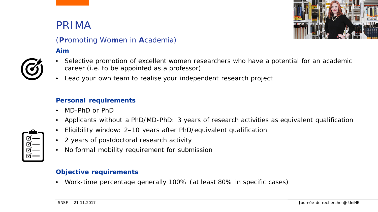## PRIMA



### (**Pr**omot**i**ng Wo**m**en in **A**cademia)

#### **Aim**



- Selective promotion of excellent women researchers who have a potential for an academic career (i.e. to be appointed as a professor)
- Lead your own team to realise your independent research project

#### **Personal requirements**

- MD-PhD or PhD
- Applicants without a PhD/MD-PhD: 3 years of research activities as equivalent qualification
- Eligibility window: 2–10 years after PhD/equivalent qualification
- 2 years of postdoctoral research activity
- No formal mobility requirement for submission

#### **Objective requirements**

• Work-time percentage generally 100% (at least 80% in specific cases)

| $\mathfrak{A}$     |
|--------------------|
| M                  |
| $\bar{\mathbb{Y}}$ |
|                    |
|                    |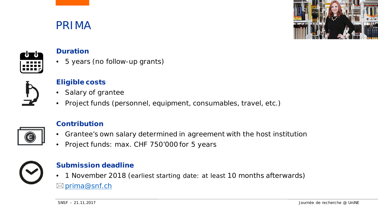## PRIMA





#### **Duration**

• 5 years (no follow-up grants)



### **Eligible costs**

- Salary of grantee
- Project funds (personnel, equipment, consumables, travel, etc.)



#### **Contribution**

- Grantee's own salary determined in agreement with the host institution
- Project funds: max. CHF 750'000 for 5 years



#### **Submission deadline**

• 1 November 2018 (earliest starting date: at least 10 months afterwards) ⊠ [prima@snf.ch](mailto:prima@snf.ch)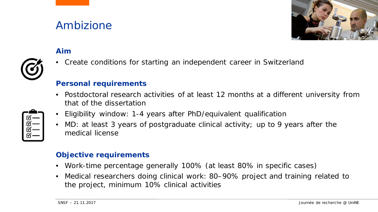## Ambizione



### **Aim**

• Create conditions for starting an independent career in Switzerland

#### **Personal requirements**

- Postdoctoral research activities of at least 12 months at a different university from that of the dissertation
- Eligibility window: 1-4 years after PhD/equivalent qualification
- MD: at least 3 years of postgraduate clinical activity; up to 9 years after the medical license

#### **Objective requirements**

- Work-time percentage generally 100% (at least 80% in specific cases)
- Medical researchers doing clinical work: 80–90% project and training related to the project, minimum 10% clinical activities

| ৰ্ত –          |
|----------------|
| ৰ্ত্য -        |
| $\mathfrak{a}$ |
| ৰ্শ –          |
|                |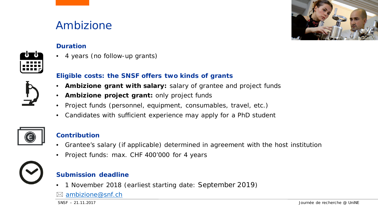## Ambizione



#### **Duration**

• 4 years (no follow-up grants)

#### **Eligible costs: the SNSF offers two kinds of grants**

- **Ambizione grant with salary:** salary of grantee and project funds
- **Ambizione project grant:** only project funds
- Project funds (personnel, equipment, consumables, travel, etc.)
- Candidates with sufficient experience may apply for a PhD student



#### **Contribution**

- Grantee's salary (if applicable) determined in agreement with the host institution
- Project funds: max. CHF 400'000 for 4 years



#### **Submission deadline**

• 1 November 2018 (earliest starting date: September 2019)

#### $\boxtimes$  [ambizione@snf.ch](mailto:Ambizione@snf.ch)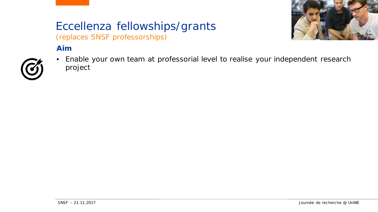### Eccellenza fellowships/grants (replaces SNSF professorships)



### **Aim**



• Enable your own team at professorial level to realise your independent research project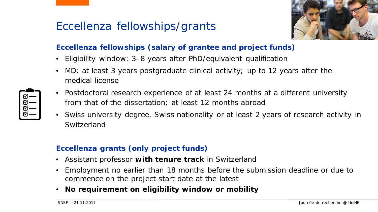## Eccellenza fellowships/grants



### **Eccellenza fellowships (salary of grantee and project funds)**

- Eligibility window: 3–8 years after PhD/equivalent qualification
- MD: at least 3 years postgraduate clinical activity; up to 12 years after the medical license
- Postdoctoral research experience of at least 24 months at a different university from that of the dissertation; at least 12 months abroad
- Swiss university degree, Swiss nationality or at least 2 years of research activity in Switzerland

### **Eccellenza grants (only project funds)**

- Assistant professor **with tenure track** in Switzerland
- Employment no earlier than 18 months before the submission deadline or due to commence on the project start date at the latest
- **No requirement on eligibility window or mobility**

| ☑                  |
|--------------------|
| $\bar{\mathbb{N}}$ |
| $\bar{\textbf{N}}$ |
|                    |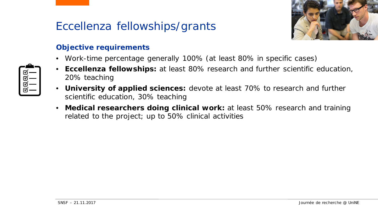## Eccellenza fellowships/grants



### **Objective requirements**

- Work-time percentage generally 100% (at least 80% in specific cases)
- **Eccellenza fellowships:** at least 80% research and further scientific education, 20% teaching
	- **University of applied sciences:** devote at least 70% to research and further scientific education, 30% teaching
	- **Medical researchers doing clinical work:** at least 50% research and training related to the project; up to 50% clinical activities

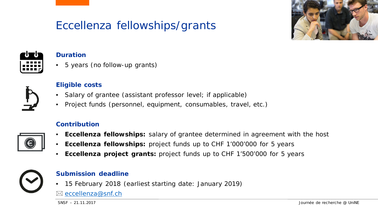## Eccellenza fellowships/grants





#### **Duration**

• 5 years (no follow-up grants)



#### **Eligible costs**

- Salary of grantee (assistant professor level; if applicable)
- Project funds (personnel, equipment, consumables, travel, etc.)

#### **Contribution**

- **Eccellenza fellowships:** salary of grantee determined in agreement with the host
- **Eccellenza fellowships:** project funds up to CHF 1'000'000 for 5 years
- **Eccellenza project grants:** project funds up to CHF 1'500'000 for 5 years



#### **Submission deadline**

• 15 February 2018 (earliest starting date: January 2019)

⊠ [eccellenza@snf.ch](mailto:eccellenza@snf.ch)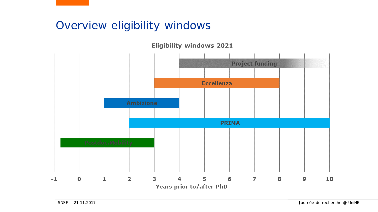## Overview eligibility windows

**Eligibility windows 2021**